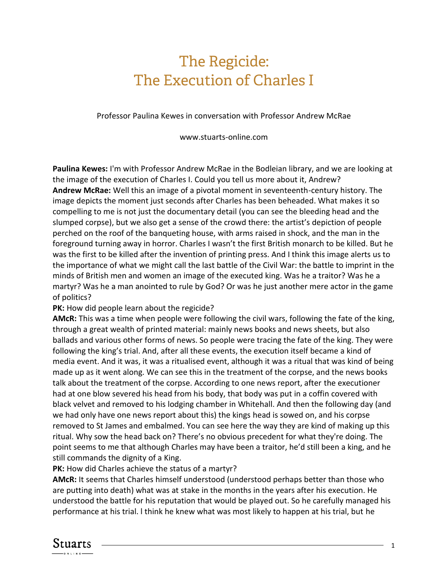## The Regicide: The Execution of Charles I

Professor Paulina Kewes in conversation with Professor Andrew McRae

www.stuarts-online.com

**Paulina Kewes:** I'm with Professor Andrew McRae in the Bodleian library, and we are looking at the image of the execution of Charles I. Could you tell us more about it, Andrew? **Andrew McRae:** Well this an image of a pivotal moment in seventeenth-century history. The image depicts the moment just seconds after Charles has been beheaded. What makes it so compelling to me is not just the documentary detail (you can see the bleeding head and the slumped corpse), but we also get a sense of the crowd there: the artist's depiction of people perched on the roof of the banqueting house, with arms raised in shock, and the man in the foreground turning away in horror. Charles I wasn't the first British monarch to be killed. But he was the first to be killed after the invention of printing press. And I think this image alerts us to the importance of what we might call the last battle of the Civil War: the battle to imprint in the minds of British men and women an image of the executed king. Was he a traitor? Was he a martyr? Was he a man anointed to rule by God? Or was he just another mere actor in the game of politics?

**PK:** How did people learn about the regicide?

**AMcR:** This was a time when people were following the civil wars, following the fate of the king, through a great wealth of printed material: mainly news books and news sheets, but also ballads and various other forms of news. So people were tracing the fate of the king. They were following the king's trial. And, after all these events, the execution itself became a kind of media event. And it was, it was a ritualised event, although it was a ritual that was kind of being made up as it went along. We can see this in the treatment of the corpse, and the news books talk about the treatment of the corpse. According to one news report, after the executioner had at one blow severed his head from his body, that body was put in a coffin covered with black velvet and removed to his lodging chamber in Whitehall. And then the following day (and we had only have one news report about this) the kings head is sowed on, and his corpse removed to St James and embalmed. You can see here the way they are kind of making up this ritual. Why sow the head back on? There's no obvious precedent for what they're doing. The point seems to me that although Charles may have been a traitor, he'd still been a king, and he still commands the dignity of a King.

**PK:** How did Charles achieve the status of a martyr?

**AMcR:** It seems that Charles himself understood (understood perhaps better than those who are putting into death) what was at stake in the months in the years after his execution. He understood the battle for his reputation that would be played out. So he carefully managed his performance at his trial. l think he knew what was most likely to happen at his trial, but he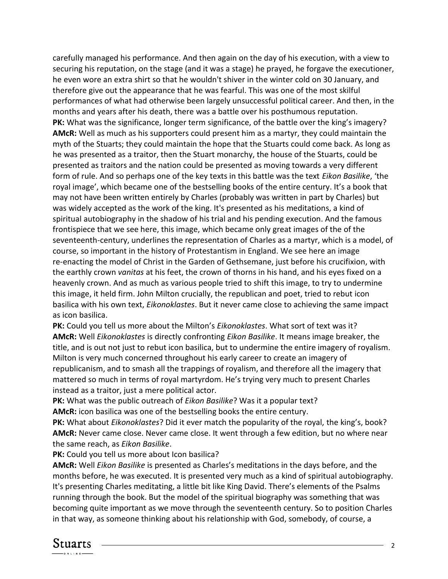carefully managed his performance. And then again on the day of his execution, with a view to securing his reputation, on the stage (and it was a stage) he prayed, he forgave the executioner, he even wore an extra shirt so that he wouldn't shiver in the winter cold on 30 January, and therefore give out the appearance that he was fearful. This was one of the most skilful performances of what had otherwise been largely unsuccessful political career. And then, in the months and years after his death, there was a battle over his posthumous reputation. **PK:** What was the significance, longer term significance, of the battle over the king's imagery? **AMcR:** Well as much as his supporters could present him as a martyr, they could maintain the myth of the Stuarts; they could maintain the hope that the Stuarts could come back. As long as he was presented as a traitor, then the Stuart monarchy, the house of the Stuarts, could be presented as traitors and the nation could be presented as moving towards a very different form of rule. And so perhaps one of the key texts in this battle was the text *Eikon Basilike*, 'the royal image', which became one of the bestselling books of the entire century. It's a book that may not have been written entirely by Charles (probably was written in part by Charles) but was widely accepted as the work of the king. It's presented as his meditations, a kind of spiritual autobiography in the shadow of his trial and his pending execution. And the famous frontispiece that we see here, this image, which became only great images of the of the seventeenth-century, underlines the representation of Charles as a martyr, which is a model, of course, so important in the history of Protestantism in England. We see here an image re-enacting the model of Christ in the Garden of Gethsemane, just before his crucifixion, with the earthly crown *vanitas* at his feet, the crown of thorns in his hand, and his eyes fixed on a heavenly crown. And as much as various people tried to shift this image, to try to undermine this image, it held firm. John Milton crucially, the republican and poet, tried to rebut icon basilica with his own text, *Eikonoklastes*. But it never came close to achieving the same impact as icon basilica.

**PK:** Could you tell us more about the Milton's *Eikonoklastes*. What sort of text was it? **AMcR:** Well *Eikonoklastes* is directly confronting *Eikon Basilike*. It means image breaker, the title, and is out not just to rebut icon basilica, but to undermine the entire imagery of royalism. Milton is very much concerned throughout his early career to create an imagery of republicanism, and to smash all the trappings of royalism, and therefore all the imagery that mattered so much in terms of royal martyrdom. He's trying very much to present Charles instead as a traitor, just a mere political actor.

**PK:** What was the public outreach of *Eikon Basilike*? Was it a popular text? **AMcR:** icon basilica was one of the bestselling books the entire century.

**PK:** What about *Eikonoklastes*? Did it ever match the popularity of the royal, the king's, book? **AMcR:** Never came close. Never came close. It went through a few edition, but no where near the same reach, as *Eikon Basilike*.

PK: Could you tell us more about Icon basilica?

**AMcR:** Well *Eikon Basilike* is presented as Charles's meditations in the days before, and the months before, he was executed. It is presented very much as a kind of spiritual autobiography. It's presenting Charles meditating, a little bit like King David. There's elements of the Psalms running through the book. But the model of the spiritual biography was something that was becoming quite important as we move through the seventeenth century. So to position Charles in that way, as someone thinking about his relationship with God, somebody, of course, a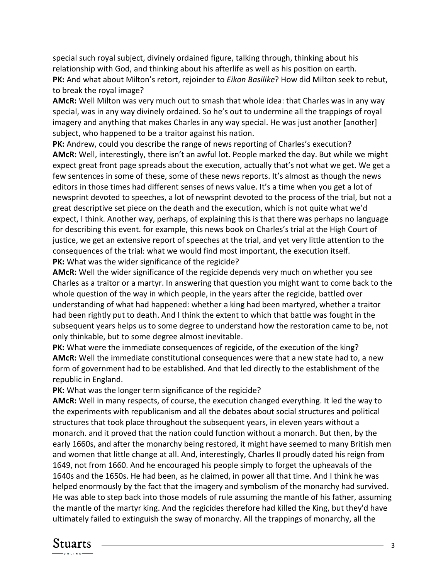special such royal subject, divinely ordained figure, talking through, thinking about his relationship with God, and thinking about his afterlife as well as his position on earth. **PK:** And what about Milton's retort, rejoinder to *Eikon Basilike*? How did Milton seek to rebut, to break the royal image?

**AMcR:** Well Milton was very much out to smash that whole idea: that Charles was in any way special, was in any way divinely ordained. So he's out to undermine all the trappings of royal imagery and anything that makes Charles in any way special. He was just another [another] subject, who happened to be a traitor against his nation.

**PK:** Andrew, could you describe the range of news reporting of Charles's execution? **AMcR:** Well, interestingly, there isn't an awful lot. People marked the day. But while we might expect great front page spreads about the execution, actually that's not what we get. We get a few sentences in some of these, some of these news reports. It's almost as though the news editors in those times had different senses of news value. It's a time when you get a lot of newsprint devoted to speeches, a lot of newsprint devoted to the process of the trial, but not a great descriptive set piece on the death and the execution, which is not quite what we'd expect, I think. Another way, perhaps, of explaining this is that there was perhaps no language for describing this event. for example, this news book on Charles's trial at the High Court of justice, we get an extensive report of speeches at the trial, and yet very little attention to the consequences of the trial: what we would find most important, the execution itself. **PK:** What was the wider significance of the regicide?

**AMcR:** Well the wider significance of the regicide depends very much on whether you see Charles as a traitor or a martyr. In answering that question you might want to come back to the whole question of the way in which people, in the years after the regicide, battled over understanding of what had happened: whether a king had been martyred, whether a traitor had been rightly put to death. And I think the extent to which that battle was fought in the subsequent years helps us to some degree to understand how the restoration came to be, not only thinkable, but to some degree almost inevitable.

**PK:** What were the immediate consequences of regicide, of the execution of the king? **AMcR:** Well the immediate constitutional consequences were that a new state had to, a new form of government had to be established. And that led directly to the establishment of the republic in England.

**PK:** What was the longer term significance of the regicide?

**AMcR:** Well in many respects, of course, the execution changed everything. It led the way to the experiments with republicanism and all the debates about social structures and political structures that took place throughout the subsequent years, in eleven years without a monarch. and it proved that the nation could function without a monarch. But then, by the early 1660s, and after the monarchy being restored, it might have seemed to many British men and women that little change at all. And, interestingly, Charles II proudly dated his reign from 1649, not from 1660. And he encouraged his people simply to forget the upheavals of the 1640s and the 1650s. He had been, as he claimed, in power all that time. And I think he was helped enormously by the fact that the imagery and symbolism of the monarchy had survived. He was able to step back into those models of rule assuming the mantle of his father, assuming the mantle of the martyr king. And the regicides therefore had killed the King, but they'd have ultimately failed to extinguish the sway of monarchy. All the trappings of monarchy, all the